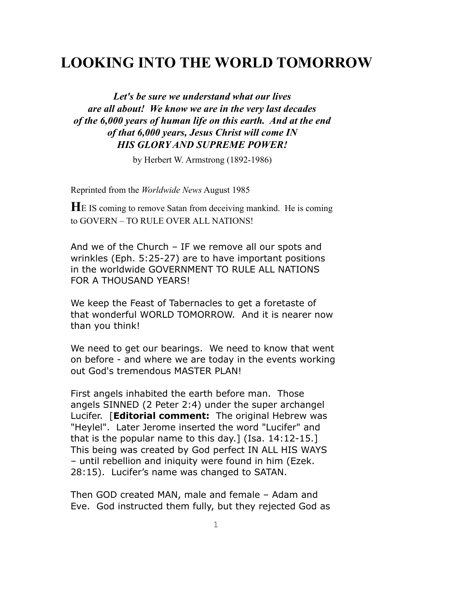# **LOOKING INTO THE WORLD TOMORROW**

*Let's be sure we understand what our lives are all about! We know we are in the very last decades of the 6,000 years of human life on this earth. And at the end of that 6,000 years, Jesus Christ will come IN HIS GLORY AND SUPREME POWER!*

by Herbert W. Armstrong (1892-1986)

Reprinted from the *Worldwide News* August 1985

**H**E IS coming to remove Satan from deceiving mankind. He is coming to GOVERN – TO RULE OVER ALL NATIONS!

And we of the Church – IF we remove all our spots and wrinkles (Eph. 5:25-27) are to have important positions in the worldwide GOVERNMENT TO RULE ALL NATIONS FOR A THOUSAND YEARS!

We keep the Feast of Tabernacles to get a foretaste of that wonderful WORLD TOMORROW. And it is nearer now than you think!

We need to get our bearings. We need to know that went on before - and where we are today in the events working out God's tremendous MASTER PLAN!

First angels inhabited the earth before man. Those angels SINNED (2 Peter 2:4) under the super archangel Lucifer. [**Editorial comment:** The original Hebrew was "Heylel". Later Jerome inserted the word "Lucifer" and that is the popular name to this day.] (Isa. 14:12-15.] This being was created by God perfect IN ALL HIS WAYS – until rebellion and iniquity were found in him (Ezek. 28:15). Lucifer's name was changed to SATAN.

Then GOD created MAN, male and female – Adam and Eve. God instructed them fully, but they rejected God as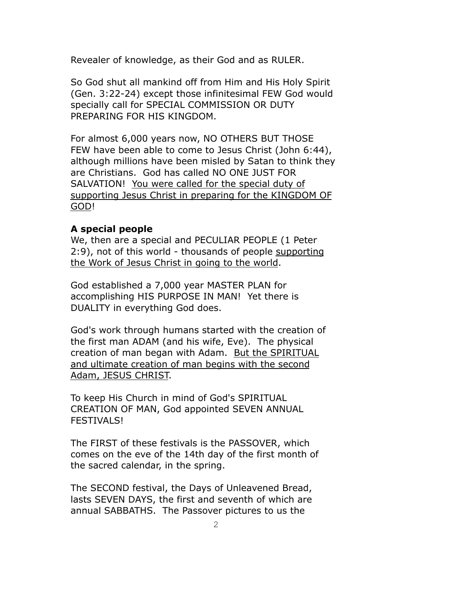Revealer of knowledge, as their God and as RULER.

So God shut all mankind off from Him and His Holy Spirit (Gen. 3:22-24) except those infinitesimal FEW God would specially call for SPECIAL COMMISSION OR DUTY PREPARING FOR HIS KINGDOM.

For almost 6,000 years now, NO OTHERS BUT THOSE FEW have been able to come to Jesus Christ (John 6:44), although millions have been misled by Satan to think they are Christians. God has called NO ONE JUST FOR SALVATION! You were called for the special duty of supporting Jesus Christ in preparing for the KINGDOM OF GOD!

## **A special people**

We, then are a special and PECULIAR PEOPLE (1 Peter 2:9), not of this world - thousands of people supporting the Work of Jesus Christ in going to the world.

God established a 7,000 year MASTER PLAN for accomplishing HIS PURPOSE IN MAN! Yet there is DUALITY in everything God does.

God's work through humans started with the creation of the first man ADAM (and his wife, Eve). The physical creation of man began with Adam. But the SPIRITUAL and ultimate creation of man begins with the second Adam, JESUS CHRIST.

To keep His Church in mind of God's SPIRITUAL CREATION OF MAN, God appointed SEVEN ANNUAL FESTIVALS!

The FIRST of these festivals is the PASSOVER, which comes on the eve of the 14th day of the first month of the sacred calendar, in the spring.

The SECOND festival, the Days of Unleavened Bread, lasts SEVEN DAYS, the first and seventh of which are annual SABBATHS. The Passover pictures to us the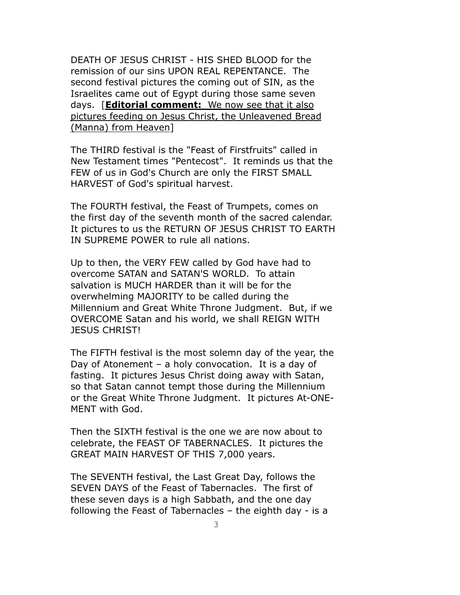DEATH OF JESUS CHRIST - HIS SHED BLOOD for the remission of our sins UPON REAL REPENTANCE. The second festival pictures the coming out of SIN, as the Israelites came out of Egypt during those same seven days. [**Editorial comment:** We now see that it also pictures feeding on Jesus Christ, the Unleavened Bread (Manna) from Heaven]

The THIRD festival is the "Feast of Firstfruits" called in New Testament times "Pentecost". It reminds us that the FEW of us in God's Church are only the FIRST SMALL HARVEST of God's spiritual harvest.

The FOURTH festival, the Feast of Trumpets, comes on the first day of the seventh month of the sacred calendar. It pictures to us the RETURN OF JESUS CHRIST TO EARTH IN SUPREME POWER to rule all nations.

Up to then, the VERY FEW called by God have had to overcome SATAN and SATAN'S WORLD. To attain salvation is MUCH HARDER than it will be for the overwhelming MAJORITY to be called during the Millennium and Great White Throne Judgment. But, if we OVERCOME Satan and his world, we shall REIGN WITH JESUS CHRIST!

The FIFTH festival is the most solemn day of the year, the Day of Atonement – a holy convocation. It is a day of fasting. It pictures Jesus Christ doing away with Satan, so that Satan cannot tempt those during the Millennium or the Great White Throne Judgment. It pictures At-ONE-MENT with God.

Then the SIXTH festival is the one we are now about to celebrate, the FEAST OF TABERNACLES. It pictures the GREAT MAIN HARVEST OF THIS 7,000 years.

The SEVENTH festival, the Last Great Day, follows the SEVEN DAYS of the Feast of Tabernacles. The first of these seven days is a high Sabbath, and the one day following the Feast of Tabernacles – the eighth day - is a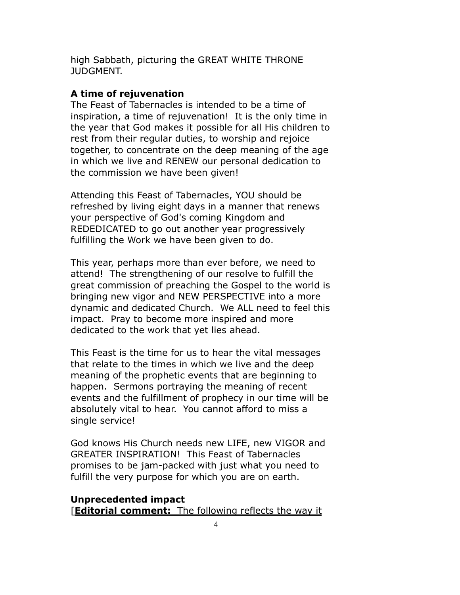high Sabbath, picturing the GREAT WHITE THRONE JUDGMENT.

## **A time of rejuvenation**

The Feast of Tabernacles is intended to be a time of inspiration, a time of rejuvenation! It is the only time in the year that God makes it possible for all His children to rest from their regular duties, to worship and rejoice together, to concentrate on the deep meaning of the age in which we live and RENEW our personal dedication to the commission we have been given!

Attending this Feast of Tabernacles, YOU should be refreshed by living eight days in a manner that renews your perspective of God's coming Kingdom and REDEDICATED to go out another year progressively fulfilling the Work we have been given to do.

This year, perhaps more than ever before, we need to attend! The strengthening of our resolve to fulfill the great commission of preaching the Gospel to the world is bringing new vigor and NEW PERSPECTIVE into a more dynamic and dedicated Church. We ALL need to feel this impact. Pray to become more inspired and more dedicated to the work that yet lies ahead.

This Feast is the time for us to hear the vital messages that relate to the times in which we live and the deep meaning of the prophetic events that are beginning to happen. Sermons portraying the meaning of recent events and the fulfillment of prophecy in our time will be absolutely vital to hear. You cannot afford to miss a single service!

God knows His Church needs new LIFE, new VIGOR and GREATER INSPIRATION! This Feast of Tabernacles promises to be jam-packed with just what you need to fulfill the very purpose for which you are on earth.

### **Unprecedented impact**

[**Editorial comment:** The following reflects the way it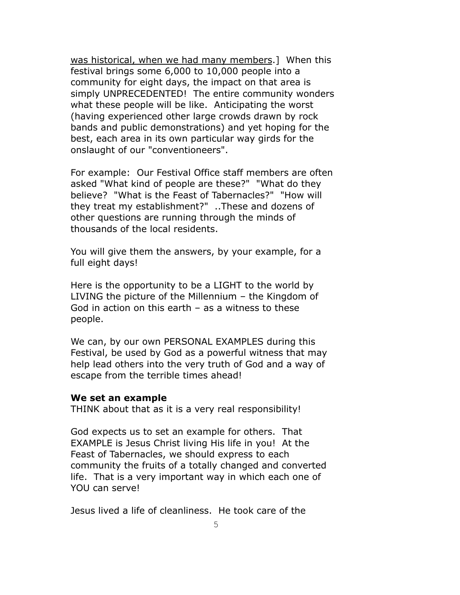was historical, when we had many members.] When this festival brings some 6,000 to 10,000 people into a community for eight days, the impact on that area is simply UNPRECEDENTED! The entire community wonders what these people will be like. Anticipating the worst (having experienced other large crowds drawn by rock bands and public demonstrations) and yet hoping for the best, each area in its own particular way girds for the onslaught of our "conventioneers".

For example: Our Festival Office staff members are often asked "What kind of people are these?" "What do they believe? "What is the Feast of Tabernacles?" "How will they treat my establishment?" ..These and dozens of other questions are running through the minds of thousands of the local residents.

You will give them the answers, by your example, for a full eight days!

Here is the opportunity to be a LIGHT to the world by LIVING the picture of the Millennium – the Kingdom of God in action on this earth – as a witness to these people.

We can, by our own PERSONAL EXAMPLES during this Festival, be used by God as a powerful witness that may help lead others into the very truth of God and a way of escape from the terrible times ahead!

#### **We set an example**

THINK about that as it is a very real responsibility!

God expects us to set an example for others. That EXAMPLE is Jesus Christ living His life in you! At the Feast of Tabernacles, we should express to each community the fruits of a totally changed and converted life. That is a very important way in which each one of YOU can serve!

Jesus lived a life of cleanliness. He took care of the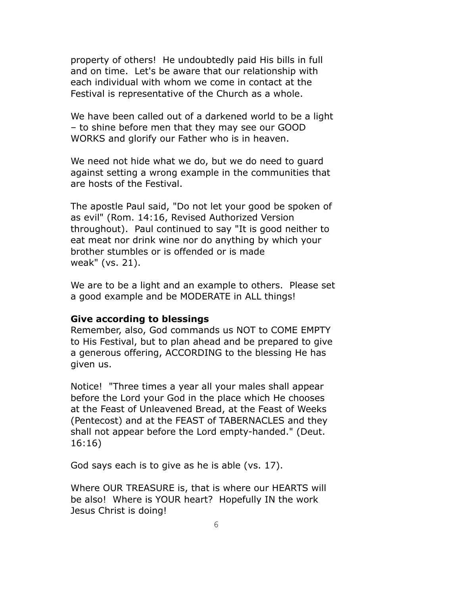property of others! He undoubtedly paid His bills in full and on time. Let's be aware that our relationship with each individual with whom we come in contact at the Festival is representative of the Church as a whole.

We have been called out of a darkened world to be a light – to shine before men that they may see our GOOD WORKS and glorify our Father who is in heaven.

We need not hide what we do, but we do need to guard against setting a wrong example in the communities that are hosts of the Festival.

The apostle Paul said, "Do not let your good be spoken of as evil" (Rom. 14:16, Revised Authorized Version throughout). Paul continued to say "It is good neither to eat meat nor drink wine nor do anything by which your brother stumbles or is offended or is made weak" (vs. 21).

We are to be a light and an example to others. Please set a good example and be MODERATE in ALL things!

#### **Give according to blessings**

Remember, also, God commands us NOT to COME EMPTY to His Festival, but to plan ahead and be prepared to give a generous offering, ACCORDING to the blessing He has given us.

Notice! "Three times a year all your males shall appear before the Lord your God in the place which He chooses at the Feast of Unleavened Bread, at the Feast of Weeks (Pentecost) and at the FEAST of TABERNACLES and they shall not appear before the Lord empty-handed." (Deut. 16:16)

God says each is to give as he is able (vs. 17).

Where OUR TREASURE is, that is where our HEARTS will be also! Where is YOUR heart? Hopefully IN the work Jesus Christ is doing!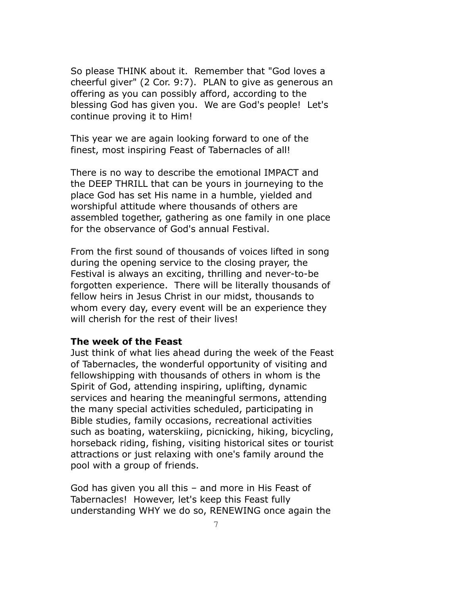So please THINK about it. Remember that "God loves a cheerful giver" (2 Cor. 9:7). PLAN to give as generous an offering as you can possibly afford, according to the blessing God has given you. We are God's people! Let's continue proving it to Him!

This year we are again looking forward to one of the finest, most inspiring Feast of Tabernacles of all!

There is no way to describe the emotional IMPACT and the DEEP THRILL that can be yours in journeying to the place God has set His name in a humble, yielded and worshipful attitude where thousands of others are assembled together, gathering as one family in one place for the observance of God's annual Festival.

From the first sound of thousands of voices lifted in song during the opening service to the closing prayer, the Festival is always an exciting, thrilling and never-to-be forgotten experience. There will be literally thousands of fellow heirs in Jesus Christ in our midst, thousands to whom every day, every event will be an experience they will cherish for the rest of their lives!

#### **The week of the Feast**

Just think of what lies ahead during the week of the Feast of Tabernacles, the wonderful opportunity of visiting and fellowshipping with thousands of others in whom is the Spirit of God, attending inspiring, uplifting, dynamic services and hearing the meaningful sermons, attending the many special activities scheduled, participating in Bible studies, family occasions, recreational activities such as boating, waterskiing, picnicking, hiking, bicycling, horseback riding, fishing, visiting historical sites or tourist attractions or just relaxing with one's family around the pool with a group of friends.

God has given you all this – and more in His Feast of Tabernacles! However, let's keep this Feast fully understanding WHY we do so, RENEWING once again the